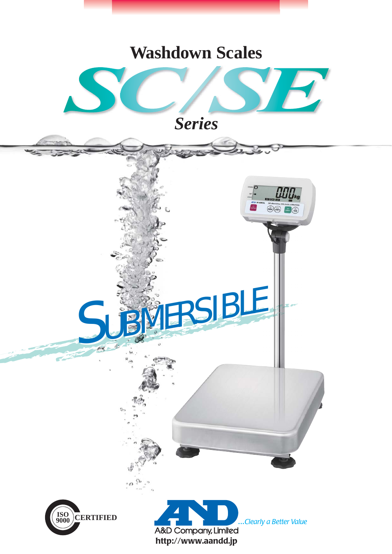# **Washdown Scales**



*Series*

SUBMERSIBLE



 $^{\circ}$   $\cal{O}$ 



 $\odot\odot$   $\blacksquare$  $\odot$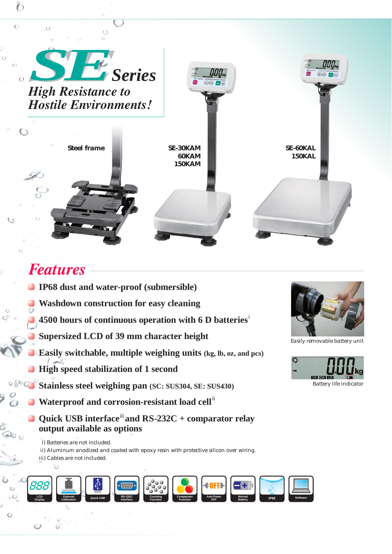

## *Features*

- **IP68 dust and water-proof (submersible)**
	- **Washdown construction for easy cleaning**
	- i **4500 hours of continuous operation with 6 D batteries**
	- **Supersized LCD of 39 mm character height**
	- **Easily switchable, multiple weighing units (kg, lb, oz, and pcs)**
- **High speed stabilization of 1 second**
- $0600$ **Stainless steel weighing pan (SC: SUS304, SE: SUS430)**
	- Waterproof and corrosion-resistant load cell<sup>ii</sup>
	- Quick USB interface<sup>ii</sup> and RS-232C + comparator relay **output available as options**
	- i) Batteries are not included.
	- ii) Aluminum anodized and coated with epoxy resin with protective silicon over wiring. iii) Cables are not included.
	-

 $\circ$ 





Easily removable battery unit